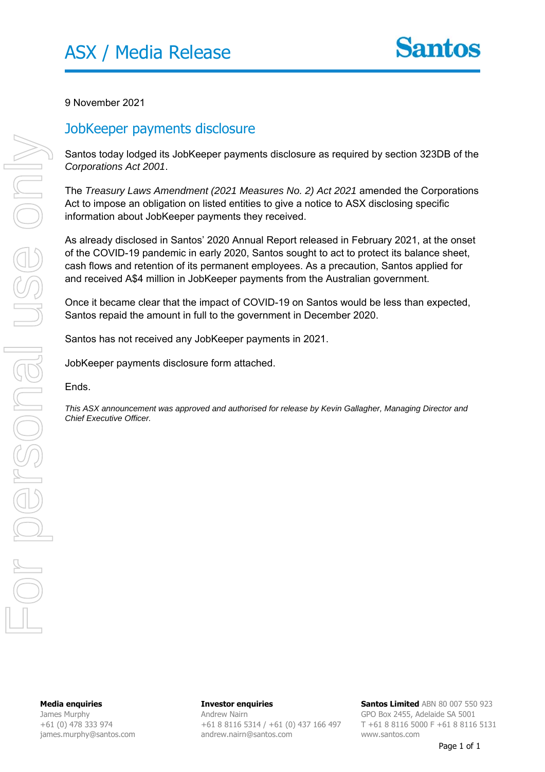

9 November 2021

## JobKeeper payments disclosure

Santos today lodged its JobKeeper payments disclosure as required by section 323DB of the *Corporations Act 2001*.

The *Treasury Laws Amendment (2021 Measures No. 2) Act 2021* amended the Corporations Act to impose an obligation on listed entities to give a notice to ASX disclosing specific information about JobKeeper payments they received.

As already disclosed in Santos' 2020 Annual Report released in February 2021, at the onset of the COVID-19 pandemic in early 2020, Santos sought to act to protect its balance sheet, cash flows and retention of its permanent employees. As a precaution, Santos applied for and received A\$4 million in JobKeeper payments from the Australian government.

Once it became clear that the impact of COVID-19 on Santos would be less than expected, Santos repaid the amount in full to the government in December 2020.

Santos has not received any JobKeeper payments in 2021.

JobKeeper payments disclosure form attached.

Ends.

*This ASX announcement was approved and authorised for release by Kevin Gallagher, Managing Director and Chief Executive Officer.*

**Media enquiries**  James Murphy +61 (0) 478 333 974 james.murphy@santos.com **Investor enquiries**  Andrew Nairn +61 8 8116 5314 / +61 (0) 437 166 497 andrew.nairn@santos.com

**Santos Limited** ABN 80 007 550 923 GPO Box 2455, Adelaide SA 5001 T +61 8 8116 5000 F +61 8 8116 5131 www.santos.com